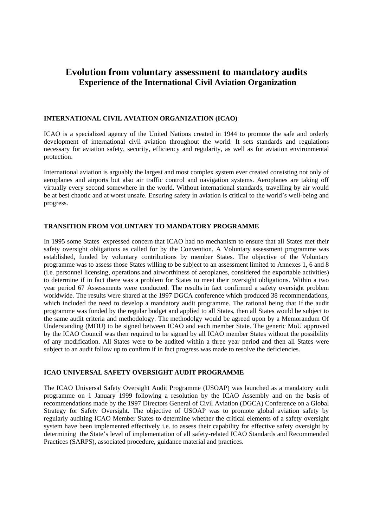# **Evolution from voluntary assessment to mandatory audits Experience of the International Civil Aviation Organization**

## **INTERNATIONAL CIVIL AVIATION ORGANIZATION (ICAO)**

ICAO is a specialized agency of the United Nations created in 1944 to promote the safe and orderly development of international civil aviation throughout the world. It sets standards and regulations necessary for aviation safety, security, efficiency and regularity, as well as for aviation environmental protection.

International aviation is arguably the largest and most complex system ever created consisting not only of aeroplanes and airports but also air traffic control and navigation systems. Aeroplanes are taking off virtually every second somewhere in the world. Without international standards, travelling by air would be at best chaotic and at worst unsafe. Ensuring safety in aviation is critical to the world's well-being and progress.

## **TRANSITION FROM VOLUNTARY TO MANDATORY PROGRAMME**

In 1995 some States expressed concern that ICAO had no mechanism to ensure that all States met their safety oversight obligations as called for by the Convention. A Voluntary assessment programme was established, funded by voluntary contributions by member States. The objective of the Voluntary programme was to assess those States willing to be subject to an assessment limited to Annexes 1, 6 and 8 (i.e. personnel licensing, operations and airworthiness of aeroplanes, considered the exportable activities) to determine if in fact there was a problem for States to meet their oversight obligations. Within a two year period 67 Assessments were conducted. The results in fact confirmed a safety oversight problem worldwide. The results were shared at the 1997 DGCA conference which produced 38 recommendations, which included the need to develop a mandatory audit programme. The rational being that If the audit programme was funded by the regular budget and applied to all States, then all States would be subject to the same audit criteria and methodology. The methodolgy would be agreed upon by a Memorandum Of Understanding (MOU) to be signed between ICAO and each member State. The generic MoU approved by the ICAO Council was then required to be signed by all ICAO member States without the possibility of any modification. All States were to be audited within a three year period and then all States were subject to an audit follow up to confirm if in fact progress was made to resolve the deficiencies.

#### **ICAO UNIVERSAL SAFETY OVERSIGHT AUDIT PROGRAMME**

The ICAO Universal Safety Oversight Audit Programme (USOAP) was launched as a mandatory audit programme on 1 January 1999 following a resolution by the ICAO Assembly and on the basis of recommendations made by the 1997 Directors General of Civil Aviation (DGCA) Conference on a Global Strategy for Safety Oversight. The objective of USOAP was to promote global aviation safety by regularly auditing ICAO Member States to determine whether the critical elements of a safety oversight system have been implemented effectively i.e. to assess their capability for effective safety oversight by determining the State's level of implementation of all safety-related ICAO Standards and Recommended Practices (SARPS), associated procedure, guidance material and practices.